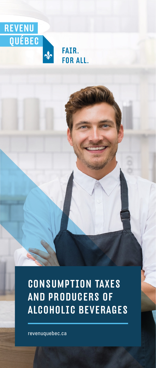

FAIR. **FOR ALL.** 

CONSUMPTION TAXES AND PRODUCERS OF ALCOHOLIC BEVERAGES

revenuquebec.ca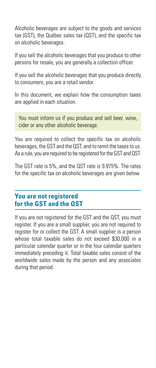Alcoholic beverages are subject to the goods and services tax (GST), the Québec sales tax (QST), and the specific tax on alcoholic beverages.

If you sell the alcoholic beverages that you produce to other persons for resale, you are generally a collection officer.

If you sell the alcoholic beverages that you produce directly to consumers, you are a retail vendor.

In this document, we explain how the consumption taxes are applied in each situation.

You must inform us if you produce and sell beer, wine, cider or any other alcoholic beverage.

You are required to collect the specific tax on alcoholic beverages, the GST and the QST, and to remit the taxes to us. As a rule, you are required to be registered for the GST and QST.

The GST rate is 5%, and the QST rate is 9.975%. The rates for the specific tax on alcoholic beverages are given below.

# **You are not registered for the GST and the QST**

If you are not registered for the GST and the QST, you must register. If you are a small supplier, you are not required to register for or collect the GST. A small supplier is a person whose total taxable sales do not exceed \$30,000 in a particular calendar quarter or in the four calendar quarters immediately preceding it. Total taxable sales consist of the worldwide sales made by the person and any associates during that period.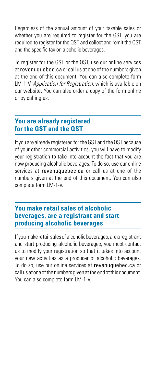Regardless of the annual amount of your taxable sales or whether you are required to register for the GST, you are required to register for the QST and collect and remit the QST and the specific tax on alcoholic beverages.

To register for the GST or the QST, use our online services at revenuquebec.ca or call us at one of the numbers given at the end of this document. You can also complete form LM-1-V, Application for Registration, which is available on our website. You can also order a copy of the form online or by calling us.

# **You are already registered for the GST and the QST**

If you are already registered for the GST and the QST because of your other commercial activities, you will have to modify your registration to take into account the fact that you are now producing alcoholic beverages. To do so, use our online services at revenuquebec.ca or call us at one of the numbers given at the end of this document. You can also complete form LM-1-V.

# **You make retail sales of alcoholic beverages, are a registrant and start producing alcoholic beverages**

If you make retail sales of alcoholic beverages, are a registrant and start producing alcoholic beverages, you must contact us to modify your registration so that it takes into account your new activities as a producer of alcoholic beverages. To do so, use our online services at revenuquebec.ca or call us at one of the numbers given at the end of this document. You can also complete form LM-1-V.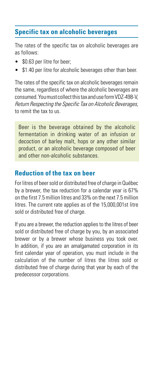# **Specific tax on alcoholic beverages**

The rates of the specific tax on alcoholic beverages are as follows:

- \$0.63 per litre for beer:
- \$1.40 per litre for alcoholic beverages other than beer.

The rates of the specific tax on alcoholic beverages remain the same, regardless of where the alcoholic beverages are consumed. You must collect this tax and use form VDZ-498-V, Return Respecting the Specific Tax on Alcoholic Beverages, to remit the tax to us.

Beer is the beverage obtained by the alcoholic fermentation in drinking water of an infusion or decoction of barley malt, hops or any other similar product, or an alcoholic beverage composed of beer and other non-alcoholic substances.

# **Reduction of the tax on beer**

For litres of beer sold or distributed free of charge in Québec by a brewer, the tax reduction for a calendar year is 67% on the first 7.5 million litres and 33% on the next 7.5 million litres. The current rate applies as of the 15,000,001st litre sold or distributed free of charge.

If you are a brewer, the reduction applies to the litres of beer sold or distributed free of charge by you, by an associated brewer or by a brewer whose business you took over. In addition, if you are an amalgamated corporation in its first calendar year of operation, you must include in the calculation of the number of litres the litres sold or distributed free of charge during that year by each of the predecessor corporations.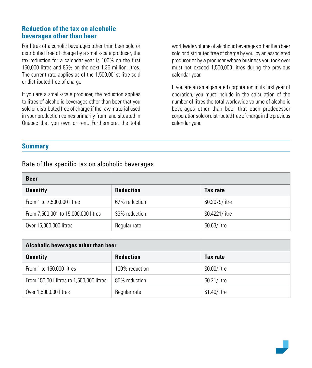# **Reduction of the tax on alcoholic beverages other than beer**

For litres of alcoholic beverages other than beer sold or distributed free of charge by a small-scale producer, the tax reduction for a calendar year is 100% on the first 150,000 litres and 85% on the next 1.35 million litres. The current rate applies as of the 1,500,001st litre sold or distributed free of charge.

If you are a small-scale producer, the reduction applies to litres of alcoholic beverages other than beer that you sold or distributed free of charge if the raw material used in your production comes primarily from land situated in Québec that you own or rent. Furthermore, the total worldwide volume of alcoholic beverages other than beer sold or distributed free of charge by you, by an associated producer or by a producer whose business you took over must not exceed 1,500,000 litres during the previous calendar year.

If you are an amalgamated corporation in its first year of operation, you must include in the calculation of the number of litres the total worldwide volume of alcoholic beverages other than beer that each predecessor corporation sold or distributed free of charge in the previous calendar year.

## **Summary**

# Rate of the specific tax on alcoholic beverages

| <b>Beer</b>                         |                  |                |  |
|-------------------------------------|------------------|----------------|--|
| <b>Quantity</b>                     | <b>Reduction</b> | Tax rate       |  |
| From 1 to 7,500,000 litres          | 67% reduction    | \$0.2079/litre |  |
| From 7,500,001 to 15,000,000 litres | 33% reduction    | \$0.4221/litre |  |
| Over 15,000,000 litres              | Regular rate     | \$0.63/litre   |  |

| Alcoholic beverages other than beer     |                  |              |  |  |
|-----------------------------------------|------------------|--------------|--|--|
| <b>Quantity</b>                         | <b>Reduction</b> | Tax rate     |  |  |
| From 1 to 150,000 litres                | 100% reduction   | \$0.00/litre |  |  |
| From 150,001 litres to 1,500,000 litres | 85% reduction    | \$0.21/litre |  |  |
| Over 1,500,000 litres                   | Regular rate     | \$1.40/litre |  |  |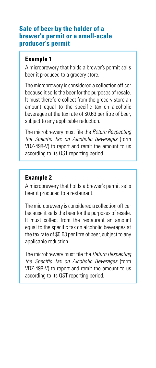## **Sale of beer by the holder of a brewer's permit or a small-scale producer's permit**

# **Example 1**

A microbrewery that holds a brewer's permit sells beer it produced to a grocery store.

The microbrewery is considered a collection officer because it sells the beer for the purposes of resale. It must therefore collect from the grocery store an amount equal to the specific tax on alcoholic beverages at the tax rate of \$0.63 per litre of beer, subject to any applicable reduction.

The microbrewery must file the Return Respecting the Specific Tax on Alcoholic Beverages (form VDZ-498-V) to report and remit the amount to us according to its QST reporting period.

# **Example 2**

A microbrewery that holds a brewer's permit sells beer it produced to a restaurant.

The microbrewery is considered a collection officer because it sells the beer for the purposes of resale. It must collect from the restaurant an amount equal to the specific tax on alcoholic beverages at the tax rate of \$0.63 per litre of beer, subject to any applicable reduction.

The microbrewery must file the Return Respecting the Specific Tax on Alcoholic Beverages (form VDZ-498-V) to report and remit the amount to us according to its QST reporting period.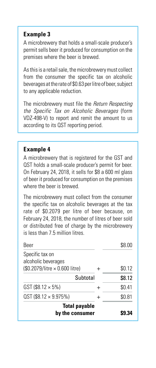## **Example 3**

A microbrewery that holds a small-scale producer's permit sells beer it produced for consumption on the premises where the beer is brewed.

As this is a retail sale, the microbrewery must collect from the consumer the specific tax on alcoholic beverages at the rate of \$0.63 per litre of beer, subject to any applicable reduction.

The microbrewery must file the Return Respecting the Specific Tax on Alcoholic Beverages (form VDZ-498-V) to report and remit the amount to us according to its QST reporting period.

## **Example 4**

A microbrewery that is registered for the GST and QST holds a small-scale producer's permit for beer. On February 24, 2018, it sells for \$8 a 600 ml glass of beer it produced for consumption on the premises where the beer is brewed.

The microbrewery must collect from the consumer the specific tax on alcoholic beverages at the tax rate of \$0.2079 per litre of beer because, on February 24, 2018, the number of litres of beer sold or distributed free of charge by the microbrewery is less than 7.5 million litres.

| Beer                                    |   | \$8.00 |
|-----------------------------------------|---|--------|
| Specific tax on<br>alcoholic beverages  |   |        |
| $$0.2079/l$ itre $\times 0.600$ litre)  |   | \$0.12 |
| Subtotal                                |   | \$8.12 |
| GST (\$8.12 $\times$ 5%)                |   | \$0.41 |
| $QST$ (\$8.12 $\times$ 9.975%)          | + | \$0.81 |
| <b>Total payable</b><br>by the consumer |   |        |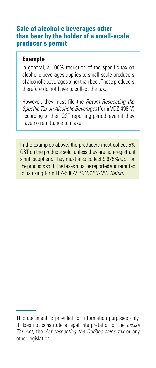## **Sale of alcoholic beverages other than beer by the holder of a small-scale producer's permit**

## **Example**

In general, a 100% reduction of the specific tax on alcoholic beverages applies to small-scale producers of alcoholic beverages other than beer. These producers therefore do not have to collect the tax.

However, they must file the Return Respecting the Specific Tax on Alcoholic Beverages (form VDZ-498-V) according to their QST reporting period, even if they have no remittance to make.

In the examples above, the producers must collect 5% GST on the products sold, unless they are non-registrant small suppliers. They must also collect 9.975% QST on the products sold. The taxes must be reported and remitted to us using form FPZ-500-V, GST/HST-QST Return.

This document is provided for information purposes only. It does not constitute a legal interpretation of the *Excise* Tax Act, the Act respecting the Québec sales tax or any other legislation.